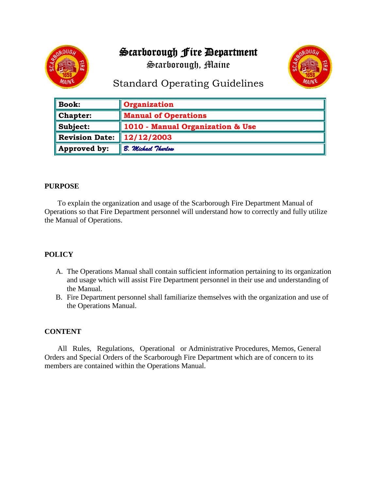# Scarborough Fire Department

Scarborough, Maine





## Standard Operating Guidelines

| $\parallel$ Book:       | Organization                     |
|-------------------------|----------------------------------|
| $\blacksquare$ Chapter: | <b>Manual of Operations</b>      |
| $\ $ Subject:           | 1010 - Manual Organization & Use |
| Revision Date:          | 12/12/2003                       |
| Approved by:            | B. Michael Thurlow               |

### **PURPOSE**

 To explain the organization and usage of the Scarborough Fire Department Manual of Operations so that Fire Department personnel will understand how to correctly and fully utilize the Manual of Operations.

## **POLICY**

- A. The Operations Manual shall contain sufficient information pertaining to its organization and usage which will assist Fire Department personnel in their use and understanding of the Manual.
- B. Fire Department personnel shall familiarize themselves with the organization and use of the Operations Manual.

## **CONTENT**

 All Rules, Regulations, Operational or Administrative Procedures, Memos, General Orders and Special Orders of the Scarborough Fire Department which are of concern to its members are contained within the Operations Manual.